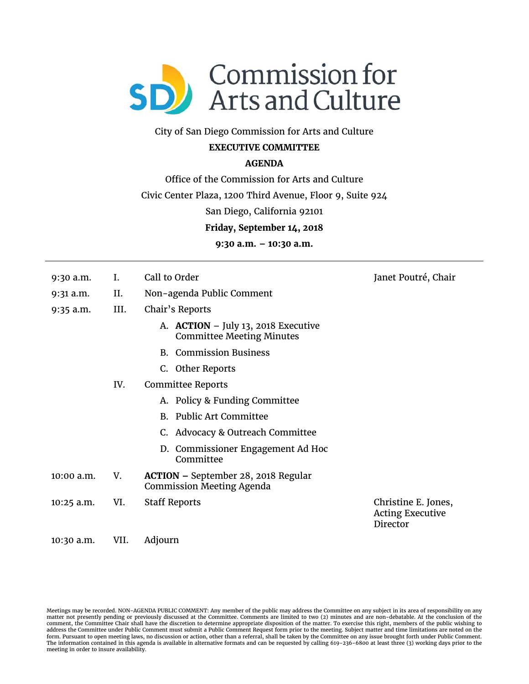

# City of San Diego Commission for Arts and Culture

# **EXECUTIVE COMMITTEE**

# **AGENDA**

Office of the Commission for Arts and Culture

Civic Center Plaza, 1200 Third Avenue, Floor 9, Suite 924

San Diego, California 92101

**Friday, September 14, 2018** 

**9:30 a.m. – 10:30 a.m.** 

- 9:30 a.m. I. Call to Order Janet Poutré, Chair
- 9:31 a.m. II. Non-agenda Public Comment
- 9:35 a.m. III. Chair's Reports
	- A. **ACTION** July 13, 2018 Executive Committee Meeting Minutes
	- B. Commission Business
	- C. Other Reports
	- IV. Committee Reports
		- A. Policy & Funding Committee
		- B. Public Art Committee
		- C. Advocacy & Outreach Committee
		- D. Commissioner Engagement Ad Hoc **Committee**
- 10:00 a.m. V. **ACTION** September 28, 2018 Regular Commission Meeting Agenda
- 10:25 a.m. VI. Staff Reports Christine E. Jones,

Acting Executive Director

10:30 a.m. VII. Adjourn

Meetings may be recorded. NON-AGENDA PUBLIC COMMENT: Any member of the public may address the Committee on any subject in its area of responsibility on any matter not presently pending or previously discussed at the Committee. Comments are limited to two (2) minutes and are non-debatable. At the conclusion of the comment, the Committee Chair shall have the discretion to determine appropriate disposition of the matter. To exercise this right, members of the public wishing to<br>address the Committee under Public Comment must submit a P The information contained in this agenda is available in alternative formats and can be requested by calling 619-236-6800 at least three (3) working days prior to the meeting in order to insure availability.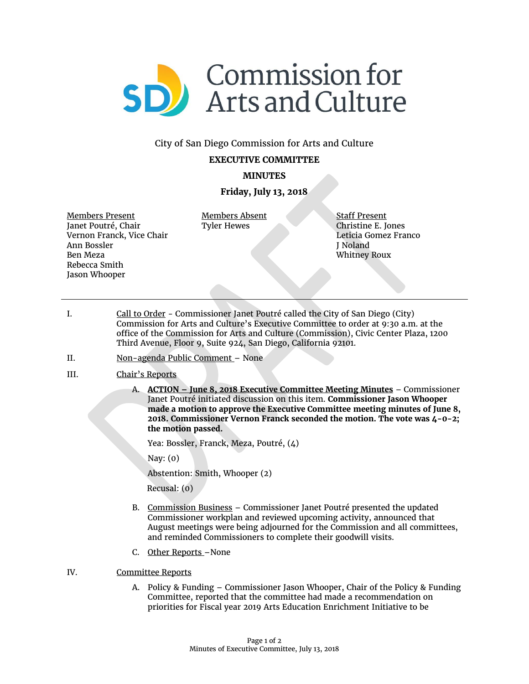

### City of San Diego Commission for Arts and Culture

#### **EXECUTIVE COMMITTEE**

### **MINUTES**

### **Friday, July 13, 2018**

Members Present Janet Poutré, Chair Vernon Franck, Vice Chair Ann Bossler Ben Meza Rebecca Smith Jason Whooper

Members Absent Tyler Hewes

Staff Present Christine E. Jones Leticia Gomez Franco J Noland Whitney Roux

- I. Call to Order Commissioner Janet Poutré called the City of San Diego (City) Commission for Arts and Culture's Executive Committee to order at 9:30 a.m. at the office of the Commission for Arts and Culture (Commission), Civic Center Plaza, 1200 Third Avenue, Floor 9, Suite 924, San Diego, California 92101.
- II. Non-agenda Public Comment None
- III. Chair's Reports
	- A. **ACTION – June 8, 2018 Executive Committee Meeting Minutes** Commissioner Janet Poutré initiated discussion on this item. **Commissioner Jason Whooper made a motion to approve the Executive Committee meeting minutes of June 8, 2018. Commissioner Vernon Franck seconded the motion. The vote was 4-0-2; the motion passed.**

Yea: Bossler, Franck, Meza, Poutré, (4)

Nay: (0)

Abstention: Smith, Whooper (2)

Recusal: (0)

- B. Commission Business Commissioner Janet Poutré presented the updated Commissioner workplan and reviewed upcoming activity, announced that August meetings were being adjourned for the Commission and all committees, and reminded Commissioners to complete their goodwill visits.
- C. Other Reports –None
- IV. Committee Reports
	- A. Policy & Funding Commissioner Jason Whooper, Chair of the Policy & Funding Committee, reported that the committee had made a recommendation on priorities for Fiscal year 2019 Arts Education Enrichment Initiative to be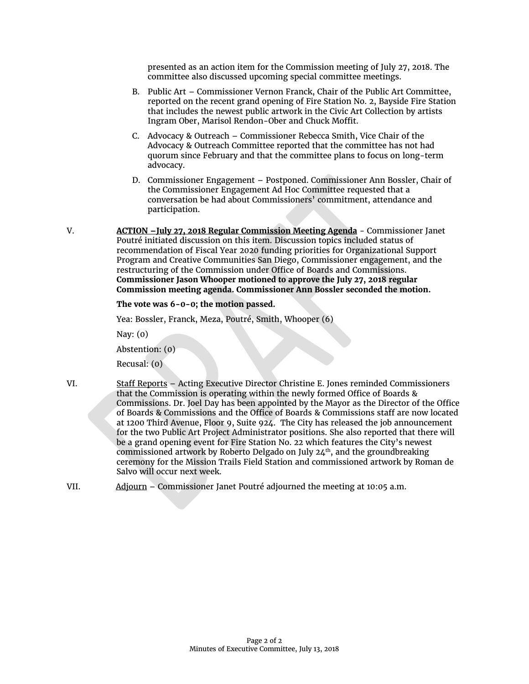presented as an action item for the Commission meeting of July 27, 2018. The committee also discussed upcoming special committee meetings.

- B. Public Art Commissioner Vernon Franck, Chair of the Public Art Committee, reported on the recent grand opening of Fire Station No. 2, Bayside Fire Station that includes the newest public artwork in the Civic Art Collection by artists Ingram Ober, Marisol Rendon-Ober and Chuck Moffit.
- C. Advocacy & Outreach Commissioner Rebecca Smith, Vice Chair of the Advocacy & Outreach Committee reported that the committee has not had quorum since February and that the committee plans to focus on long-term advocacy.
- D. Commissioner Engagement Postponed. Commissioner Ann Bossler, Chair of the Commissioner Engagement Ad Hoc Committee requested that a conversation be had about Commissioners' commitment, attendance and participation.
- V. **ACTION –July 27, 2018 Regular Commission Meeting Agenda** Commissioner Janet Poutré initiated discussion on this item. Discussion topics included status of recommendation of Fiscal Year 2020 funding priorities for Organizational Support Program and Creative Communities San Diego, Commissioner engagement, and the restructuring of the Commission under Office of Boards and Commissions. **Commissioner Jason Whooper motioned to approve the July 27, 2018 regular Commission meeting agenda. Commissioner Ann Bossler seconded the motion.**

**The vote was 6-0-0; the motion passed.**

Yea: Bossler, Franck, Meza, Poutré, Smith, Whooper (6)

Nay: (0)

Abstention: (0)

Recusal: (0)

- VI. Staff Reports Acting Executive Director Christine E. Jones reminded Commissioners that the Commission is operating within the newly formed Office of Boards & Commissions. Dr. Joel Day has been appointed by the Mayor as the Director of the Office of Boards & Commissions and the Office of Boards & Commissions staff are now located at 1200 Third Avenue, Floor 9, Suite 924. The City has released the job announcement for the two Public Art Project Administrator positions. She also reported that there will be a grand opening event for Fire Station No. 22 which features the City's newest commissioned artwork by Roberto Delgado on July 24<sup>th</sup>, and the groundbreaking ceremony for the Mission Trails Field Station and commissioned artwork by Roman de Salvo will occur next week.
- VII. Adjourn Commissioner Janet Poutré adjourned the meeting at 10:05 a.m.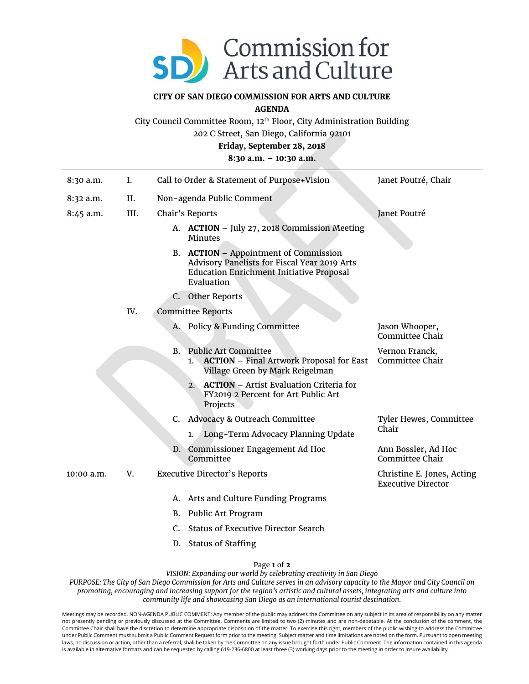

#### **CITY OF SAN DIEGO COMMISSION FOR ARTS AND CULTURE**

**AGENDA** 

City Council Committee Room, 12th Floor, City Administration Building

202 C Street, San Diego, California 92101

**Friday, September 28, 2018** 

**8:30 a.m. – 10:30 a.m.** 

| 8:30 a.m.    | I.   |                           | Call to Order & Statement of Purpose+Vision                                                                                                            | Janet Poutré, Chair                                     |
|--------------|------|---------------------------|--------------------------------------------------------------------------------------------------------------------------------------------------------|---------------------------------------------------------|
| $8:32$ a.m.  | II.  | Non-agenda Public Comment |                                                                                                                                                        |                                                         |
| 8:45 a.m.    | III. |                           | Chair's Reports                                                                                                                                        | Janet Poutré                                            |
|              |      |                           | A. ACTION - July 27, 2018 Commission Meeting<br><b>Minutes</b>                                                                                         |                                                         |
|              |      |                           | B. ACTION - Appointment of Commission<br>Advisory Panelists for Fiscal Year 2019 Arts<br><b>Education Enrichment Initiative Proposal</b><br>Evaluation |                                                         |
|              |      |                           | C. Other Reports                                                                                                                                       |                                                         |
|              | IV.  |                           | <b>Committee Reports</b>                                                                                                                               |                                                         |
|              |      | А.                        | Policy & Funding Committee                                                                                                                             | Jason Whooper,<br>Committee Chair                       |
|              |      | <b>B.</b>                 | <b>Public Art Committee</b><br><b>ACTION</b> – Final Artwork Proposal for East<br>1.<br>Village Green by Mark Reigelman                                | Vernon Franck,<br>Committee Chair                       |
|              |      |                           | <b>ACTION</b> - Artist Evaluation Criteria for<br>2.<br>FY2019 2 Percent for Art Public Art<br>Projects                                                |                                                         |
|              |      |                           | C. Advocacy & Outreach Committee                                                                                                                       | Tyler Hewes, Committee<br>Chair                         |
|              |      |                           | Long-Term Advocacy Planning Update<br>1.                                                                                                               |                                                         |
|              |      | D.                        | Commissioner Engagement Ad Hoc<br>Committee                                                                                                            | Ann Bossler, Ad Hoc<br>Committee Chair                  |
| $10:00$ a.m. | V.   |                           | <b>Executive Director's Reports</b>                                                                                                                    | Christine E. Jones, Acting<br><b>Executive Director</b> |
|              |      | A.                        | Arts and Culture Funding Programs                                                                                                                      |                                                         |
|              |      | B.                        | Public Art Program                                                                                                                                     |                                                         |
|              |      | $C_{\cdot}$               | <b>Status of Executive Director Search</b>                                                                                                             |                                                         |
|              |      |                           | D. Status of Staffing                                                                                                                                  |                                                         |

Page **1** of **2**

*VISION: Expanding our world by celebrating creativity in San Diego PURPOSE: The City of San Diego Commission for Arts and Culture serves in an advisory capacity to the Mayor and City Council on* 

*promoting, encouraging and increasing support for the region's artistic and cultural assets, integrating arts and culture into community life and showcasing San Diego as an international tourist destination.* 

Meetings may be recorded. NON-AGENDA PUBLIC COMMENT: Any member of the public may address the Committee on any subject in its area of responsibility on any matter not presently pending or previously discussed at the Committee. Comments are limited to two (2) minutes and are non-debatable. At the conclusion of the comment, the Committee Chair shall have the discretion to determine appropriate disposition of the matter. To exercise this right, members of the public wishing to address the Committee under Public Comment must submit a Public Comment Request form prior to the meeting. Subject matter and time limitations are noted on the form. Pursuant to open meeting laws, no discussion or action, other than a referral, shall be taken by the Committee on any issue brought forth under Public Comment. The information contained in this agenda is available in alternative formats and can be requested by calling 619-236-6800 at least three (3) working days prior to the meeting in order to insure availability.